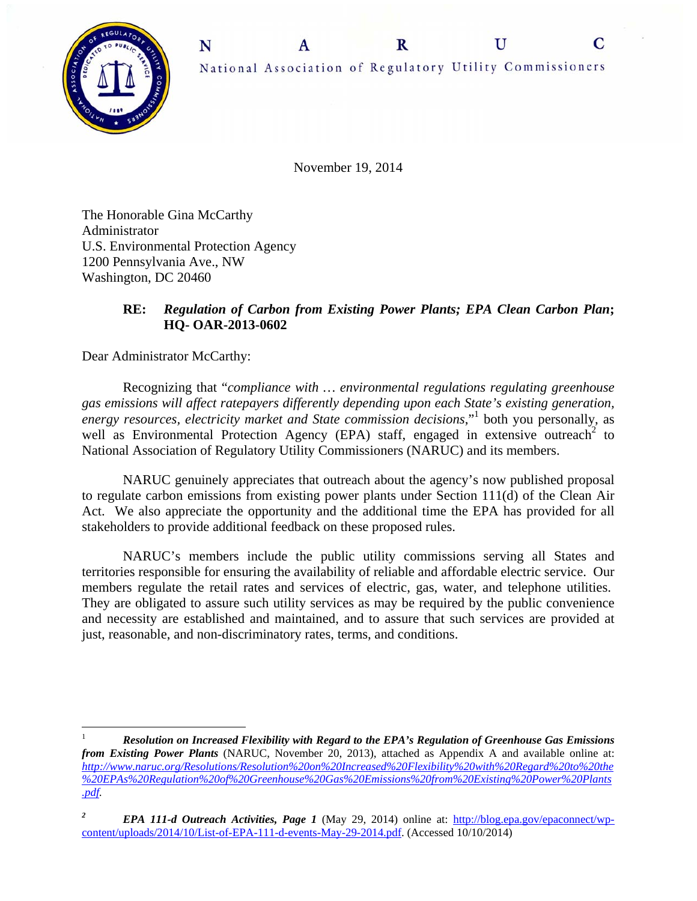C



November 19, 2014

The Honorable Gina McCarthy Administrator U.S. Environmental Protection Agency 1200 Pennsylvania Ave., NW Washington, DC 20460

# **RE:** *Regulation of Carbon from Existing Power Plants; EPA Clean Carbon Plan***; HQ- OAR-2013-0602**

Dear Administrator McCarthy:

 $\overline{a}$ 

 Recognizing that "*compliance with … environmental regulations regulating greenhouse gas emissions will affect ratepayers differently depending upon each State's existing generation,*  energy resources, electricity market and State commission decisions,"<sup>1</sup> both you personally, as well as Environmental Protection Agency (EPA) staff, engaged in extensive outreach<sup>2</sup> to National Association of Regulatory Utility Commissioners (NARUC) and its members.

NARUC genuinely appreciates that outreach about the agency's now published proposal to regulate carbon emissions from existing power plants under Section 111(d) of the Clean Air Act. We also appreciate the opportunity and the additional time the EPA has provided for all stakeholders to provide additional feedback on these proposed rules.

NARUC's members include the public utility commissions serving all States and territories responsible for ensuring the availability of reliable and affordable electric service. Our members regulate the retail rates and services of electric, gas, water, and telephone utilities. They are obligated to assure such utility services as may be required by the public convenience and necessity are established and maintained, and to assure that such services are provided at just, reasonable, and non-discriminatory rates, terms, and conditions.

<sup>1</sup> *Resolution on Increased Flexibility with Regard to the EPA's Regulation of Greenhouse Gas Emissions from Existing Power Plants* (NARUC, November 20, 2013), attached as Appendix A and available online at: *http://www.naruc.org/Resolutions/Resolution%20on%20Increased%20Flexibility%20with%20Regard%20to%20the %20EPAs%20Regulation%20of%20Greenhouse%20Gas%20Emissions%20from%20Existing%20Power%20Plants .pdf.* 

*<sup>2</sup> EPA 111-d Outreach Activities, Page 1* (May 29, 2014) online at: http://blog.epa.gov/epaconnect/wpcontent/uploads/2014/10/List-of-EPA-111-d-events-May-29-2014.pdf. (Accessed 10/10/2014)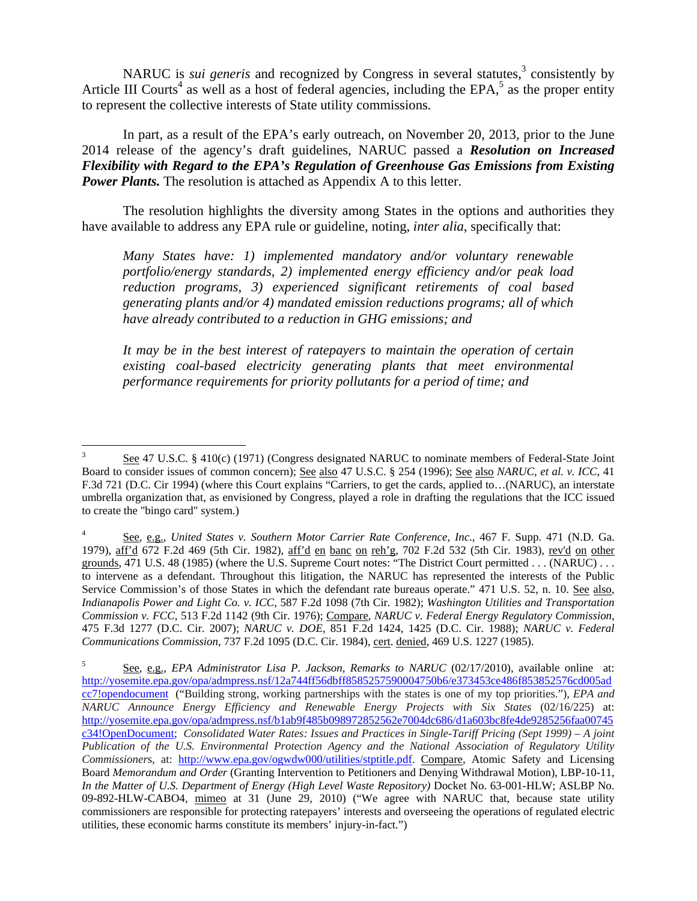NARUC is *sui generis* and recognized by Congress in several statutes,<sup>3</sup> consistently by Article III Courts<sup>4</sup> as well as a host of federal agencies, including the EPA,<sup>5</sup> as the proper entity to represent the collective interests of State utility commissions*.*

In part, as a result of the EPA's early outreach, on November 20, 2013, prior to the June 2014 release of the agency's draft guidelines, NARUC passed a *Resolution on Increased Flexibility with Regard to the EPA's Regulation of Greenhouse Gas Emissions from Existing Power Plants.* The resolution is attached as Appendix A to this letter.

The resolution highlights the diversity among States in the options and authorities they have available to address any EPA rule or guideline, noting, *inter alia*, specifically that:

*Many States have: 1) implemented mandatory and/or voluntary renewable portfolio/energy standards, 2) implemented energy efficiency and/or peak load reduction programs, 3) experienced significant retirements of coal based generating plants and/or 4) mandated emission reductions programs; all of which have already contributed to a reduction in GHG emissions; and* 

*It may be in the best interest of ratepayers to maintain the operation of certain existing coal-based electricity generating plants that meet environmental performance requirements for priority pollutants for a period of time; and* 

 $\overline{a}$ 3 See 47 U.S.C. § 410(c) (1971) (Congress designated NARUC to nominate members of Federal-State Joint Board to consider issues of common concern); See also 47 U.S.C. § 254 (1996); See also *NARUC, et al. v. ICC*, 41 F.3d 721 (D.C. Cir 1994) (where this Court explains "Carriers, to get the cards, applied to…(NARUC), an interstate umbrella organization that, as envisioned by Congress, played a role in drafting the regulations that the ICC issued to create the "bingo card" system.)

<sup>4</sup> See, e.g., *United States v. Southern Motor Carrier Rate Conference, Inc*., 467 F. Supp. 471 (N.D. Ga. 1979), aff'd 672 F.2d 469 (5th Cir. 1982), aff'd en banc on reh'g, 702 F.2d 532 (5th Cir. 1983), rev'd on other grounds, 471 U.S. 48 (1985) (where the U.S. Supreme Court notes: "The District Court permitted . . . (NARUC) . . . to intervene as a defendant. Throughout this litigation, the NARUC has represented the interests of the Public Service Commission's of those States in which the defendant rate bureaus operate." 471 U.S. 52, n. 10. See also, *Indianapolis Power and Light Co. v. ICC*, 587 F.2d 1098 (7th Cir. 1982); *Washington Utilities and Transportation Commission v. FCC*, 513 F.2d 1142 (9th Cir. 1976); Compare, *NARUC v. Federal Energy Regulatory Commission*, 475 F.3d 1277 (D.C. Cir. 2007); *NARUC v. DOE*, 851 F.2d 1424, 1425 (D.C. Cir. 1988); *NARUC v. Federal Communications Commission*, 737 F.2d 1095 (D.C. Cir. 1984), cert. denied, 469 U.S. 1227 (1985).

<sup>5</sup> See, e.g., *EPA Administrator Lisa P. Jackson, Remarks to NARUC* (02/17/2010), available online at: http://yosemite.epa.gov/opa/admpress.nsf/12a744ff56dbff8585257590004750b6/e373453ce486f853852576cd005ad cc7!opendocument ("Building strong, working partnerships with the states is one of my top priorities."), *EPA and NARUC Announce Energy Efficiency and Renewable Energy Projects with Six States* (02/16/225) at: http://yosemite.epa.gov/opa/admpress.nsf/b1ab9f485b098972852562e7004dc686/d1a603bc8fe4de9285256faa00745 c34!OpenDocument; *Consolidated Water Rates: Issues and Practices in Single-Tariff Pricing (Sept 1999) – A joint Publication of the U.S. Environmental Protection Agency and the National Association of Regulatory Utility Commissioner*s, at: http://www.epa.gov/ogwdw000/utilities/stptitle.pdf. Compare, Atomic Safety and Licensing Board *Memorandum and Order* (Granting Intervention to Petitioners and Denying Withdrawal Motion), LBP-10-11, *In the Matter of U.S. Department of Energy (High Level Waste Repository)* Docket No. 63-001-HLW; ASLBP No. 09-892-HLW-CABO4, mimeo at 31 (June 29, 2010) ("We agree with NARUC that, because state utility commissioners are responsible for protecting ratepayers' interests and overseeing the operations of regulated electric utilities, these economic harms constitute its members' injury-in-fact.")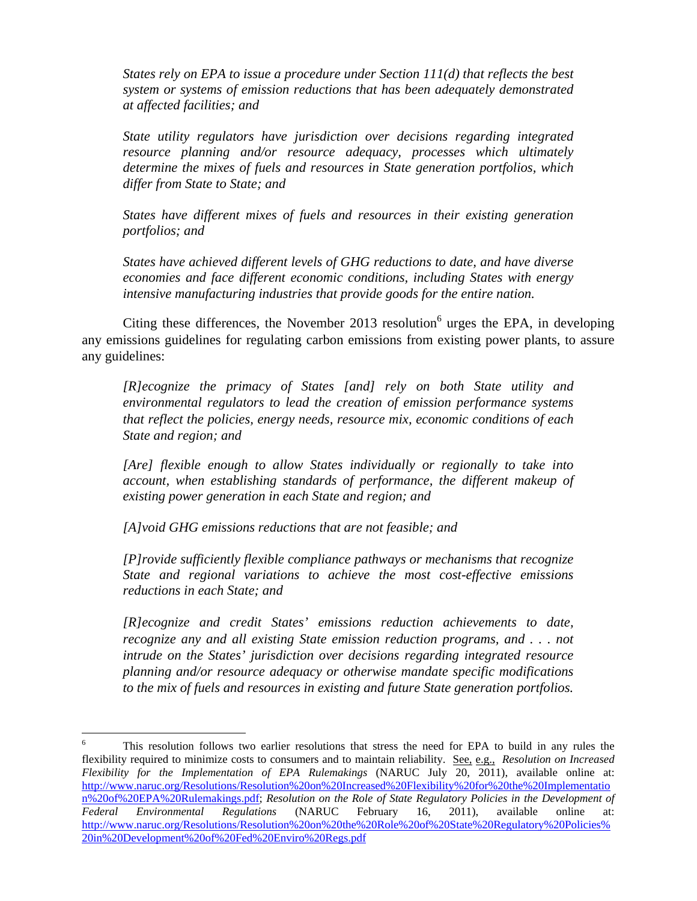*States rely on EPA to issue a procedure under Section 111(d) that reflects the best system or systems of emission reductions that has been adequately demonstrated at affected facilities; and* 

*State utility regulators have jurisdiction over decisions regarding integrated resource planning and/or resource adequacy, processes which ultimately determine the mixes of fuels and resources in State generation portfolios, which differ from State to State; and* 

*States have different mixes of fuels and resources in their existing generation portfolios; and* 

*States have achieved different levels of GHG reductions to date, and have diverse economies and face different economic conditions, including States with energy intensive manufacturing industries that provide goods for the entire nation.* 

Citing these differences, the November 2013 resolution $6$  urges the EPA, in developing any emissions guidelines for regulating carbon emissions from existing power plants, to assure any guidelines:

*[R]ecognize the primacy of States [and] rely on both State utility and environmental regulators to lead the creation of emission performance systems that reflect the policies, energy needs, resource mix, economic conditions of each State and region; and* 

*[Are] flexible enough to allow States individually or regionally to take into account, when establishing standards of performance, the different makeup of existing power generation in each State and region; and* 

*[A]void GHG emissions reductions that are not feasible; and* 

 $\overline{a}$ 

*[P]rovide sufficiently flexible compliance pathways or mechanisms that recognize State and regional variations to achieve the most cost-effective emissions reductions in each State; and* 

*[R]ecognize and credit States' emissions reduction achievements to date, recognize any and all existing State emission reduction programs, and . . . not intrude on the States' jurisdiction over decisions regarding integrated resource planning and/or resource adequacy or otherwise mandate specific modifications to the mix of fuels and resources in existing and future State generation portfolios.* 

<sup>6</sup> This resolution follows two earlier resolutions that stress the need for EPA to build in any rules the flexibility required to minimize costs to consumers and to maintain reliability. See, e.g., *Resolution on Increased Flexibility for the Implementation of EPA Rulemakings* (NARUC July 20, 2011), available online at: http://www.naruc.org/Resolutions/Resolution%20on%20Increased%20Flexibility%20for%20the%20Implementatio n%20of%20EPA%20Rulemakings.pdf; *Resolution on the Role of State Regulatory Policies in the Development of Federal Environmental Regulations* (NARUC February 16, 2011), available online at: http://www.naruc.org/Resolutions/Resolution%20on%20the%20Role%20of%20State%20Regulatory%20Policies% 20in%20Development%20of%20Fed%20Enviro%20Regs.pdf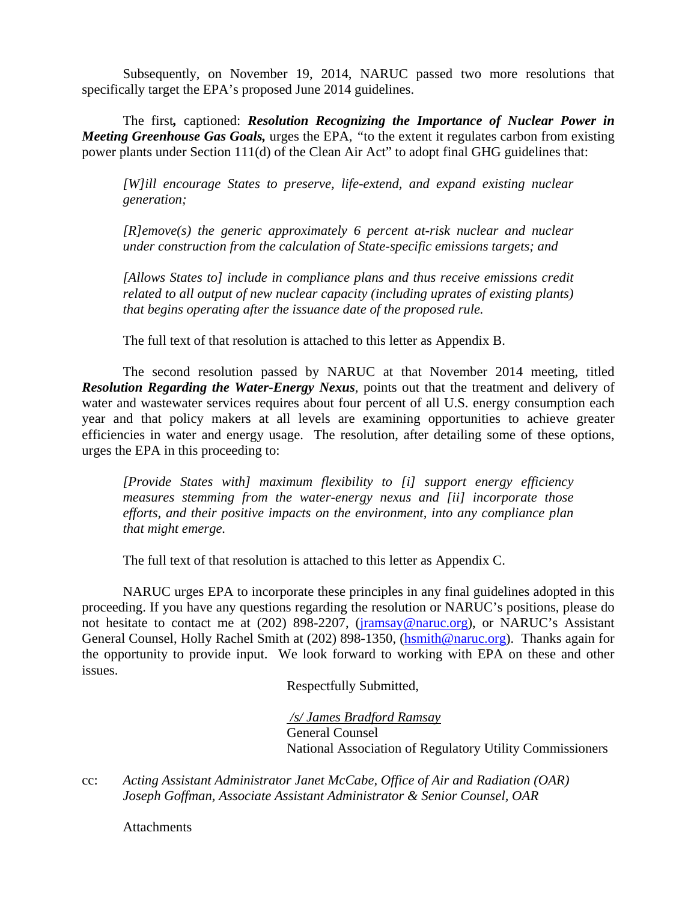Subsequently, on November 19, 2014, NARUC passed two more resolutions that specifically target the EPA's proposed June 2014 guidelines.

The first*,* captioned: *Resolution Recognizing the Importance of Nuclear Power in Meeting Greenhouse Gas Goals,* urges the EPA, *"*to the extent it regulates carbon from existing power plants under Section 111(d) of the Clean Air Act" to adopt final GHG guidelines that:

*[W]ill encourage States to preserve, life-extend, and expand existing nuclear generation;* 

*[R]emove(s) the generic approximately 6 percent at-risk nuclear and nuclear under construction from the calculation of State-specific emissions targets; and* 

*[Allows States to] include in compliance plans and thus receive emissions credit related to all output of new nuclear capacity (including uprates of existing plants) that begins operating after the issuance date of the proposed rule.* 

The full text of that resolution is attached to this letter as Appendix B.

The second resolution passed by NARUC at that November 2014 meeting, titled **Resolution Regarding the Water-Energy Nexus**, points out that the treatment and delivery of water and wastewater services requires about four percent of all U.S. energy consumption each year and that policy makers at all levels are examining opportunities to achieve greater efficiencies in water and energy usage. The resolution, after detailing some of these options, urges the EPA in this proceeding to:

*[Provide States with] maximum flexibility to [i] support energy efficiency measures stemming from the water-energy nexus and [ii] incorporate those efforts, and their positive impacts on the environment, into any compliance plan that might emerge.* 

The full text of that resolution is attached to this letter as Appendix C.

NARUC urges EPA to incorporate these principles in any final guidelines adopted in this proceeding. If you have any questions regarding the resolution or NARUC's positions, please do not hesitate to contact me at (202) 898-2207, (jramsay@naruc.org), or NARUC's Assistant General Counsel, Holly Rachel Smith at (202) 898-1350, (hsmith@naruc.org). Thanks again for the opportunity to provide input. We look forward to working with EPA on these and other issues.

Respectfully Submitted,

 */s/ James Bradford Ramsay* General Counsel National Association of Regulatory Utility Commissioners

cc: *Acting Assistant Administrator Janet McCabe, Office of Air and Radiation (OAR) Joseph Goffman, Associate Assistant Administrator & Senior Counsel, OAR* 

**Attachments**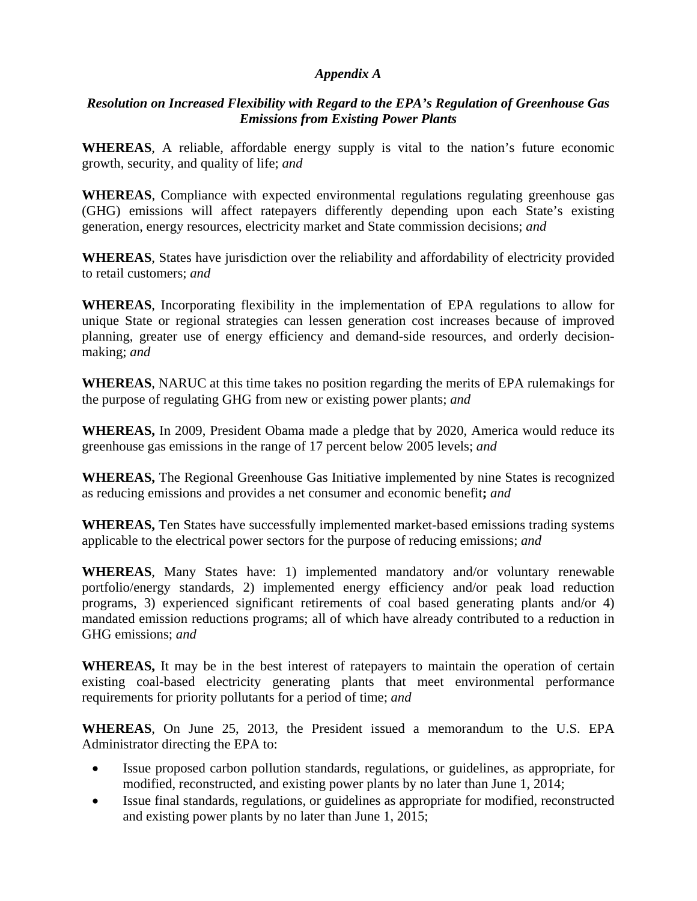#### *Appendix A*

### *Resolution on Increased Flexibility with Regard to the EPA's Regulation of Greenhouse Gas Emissions from Existing Power Plants*

**WHEREAS**, A reliable, affordable energy supply is vital to the nation's future economic growth, security, and quality of life; *and* 

**WHEREAS**, Compliance with expected environmental regulations regulating greenhouse gas (GHG) emissions will affect ratepayers differently depending upon each State's existing generation, energy resources, electricity market and State commission decisions; *and* 

**WHEREAS**, States have jurisdiction over the reliability and affordability of electricity provided to retail customers; *and* 

**WHEREAS**, Incorporating flexibility in the implementation of EPA regulations to allow for unique State or regional strategies can lessen generation cost increases because of improved planning, greater use of energy efficiency and demand-side resources, and orderly decisionmaking; *and* 

**WHEREAS**, NARUC at this time takes no position regarding the merits of EPA rulemakings for the purpose of regulating GHG from new or existing power plants; *and* 

**WHEREAS,** In 2009, President Obama made a pledge that by 2020, America would reduce its greenhouse gas emissions in the range of 17 percent below 2005 levels; *and* 

**WHEREAS,** The Regional Greenhouse Gas Initiative implemented by nine States is recognized as reducing emissions and provides a net consumer and economic benefit**;** *and* 

**WHEREAS,** Ten States have successfully implemented market-based emissions trading systems applicable to the electrical power sectors for the purpose of reducing emissions; *and* 

**WHEREAS**, Many States have: 1) implemented mandatory and/or voluntary renewable portfolio/energy standards, 2) implemented energy efficiency and/or peak load reduction programs, 3) experienced significant retirements of coal based generating plants and/or 4) mandated emission reductions programs; all of which have already contributed to a reduction in GHG emissions; *and*

**WHEREAS,** It may be in the best interest of ratepayers to maintain the operation of certain existing coal-based electricity generating plants that meet environmental performance requirements for priority pollutants for a period of time; *and* 

**WHEREAS**, On June 25, 2013, the President issued a memorandum to the U.S. EPA Administrator directing the EPA to:

- Issue proposed carbon pollution standards, regulations, or guidelines, as appropriate, for modified, reconstructed, and existing power plants by no later than June 1, 2014;
- Issue final standards, regulations, or guidelines as appropriate for modified, reconstructed and existing power plants by no later than June 1, 2015;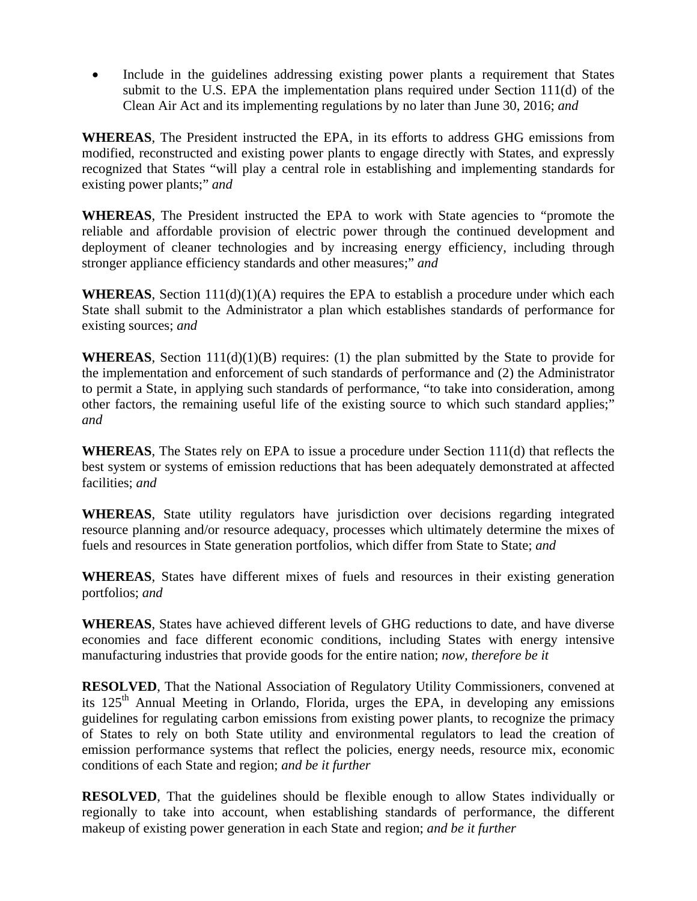Include in the guidelines addressing existing power plants a requirement that States submit to the U.S. EPA the implementation plans required under Section 111(d) of the Clean Air Act and its implementing regulations by no later than June 30, 2016; *and*

**WHEREAS**, The President instructed the EPA, in its efforts to address GHG emissions from modified, reconstructed and existing power plants to engage directly with States, and expressly recognized that States "will play a central role in establishing and implementing standards for existing power plants;" *and* 

**WHEREAS**, The President instructed the EPA to work with State agencies to "promote the reliable and affordable provision of electric power through the continued development and deployment of cleaner technologies and by increasing energy efficiency, including through stronger appliance efficiency standards and other measures;" *and* 

**WHEREAS**, Section 111(d)(1)(A) requires the EPA to establish a procedure under which each State shall submit to the Administrator a plan which establishes standards of performance for existing sources; *and* 

**WHEREAS**, Section  $111(d)(1)(B)$  requires: (1) the plan submitted by the State to provide for the implementation and enforcement of such standards of performance and (2) the Administrator to permit a State, in applying such standards of performance, "to take into consideration, among other factors, the remaining useful life of the existing source to which such standard applies;" *and* 

**WHEREAS**, The States rely on EPA to issue a procedure under Section 111(d) that reflects the best system or systems of emission reductions that has been adequately demonstrated at affected facilities; *and* 

**WHEREAS**, State utility regulators have jurisdiction over decisions regarding integrated resource planning and/or resource adequacy, processes which ultimately determine the mixes of fuels and resources in State generation portfolios, which differ from State to State; *and*

**WHEREAS**, States have different mixes of fuels and resources in their existing generation portfolios; *and* 

**WHEREAS**, States have achieved different levels of GHG reductions to date, and have diverse economies and face different economic conditions, including States with energy intensive manufacturing industries that provide goods for the entire nation; *now, therefore be it* 

**RESOLVED**, That the National Association of Regulatory Utility Commissioners, convened at its  $125<sup>th</sup>$  Annual Meeting in Orlando, Florida, urges the EPA, in developing any emissions guidelines for regulating carbon emissions from existing power plants, to recognize the primacy of States to rely on both State utility and environmental regulators to lead the creation of emission performance systems that reflect the policies, energy needs, resource mix, economic conditions of each State and region; *and be it further*

**RESOLVED**, That the guidelines should be flexible enough to allow States individually or regionally to take into account, when establishing standards of performance, the different makeup of existing power generation in each State and region; *and be it further*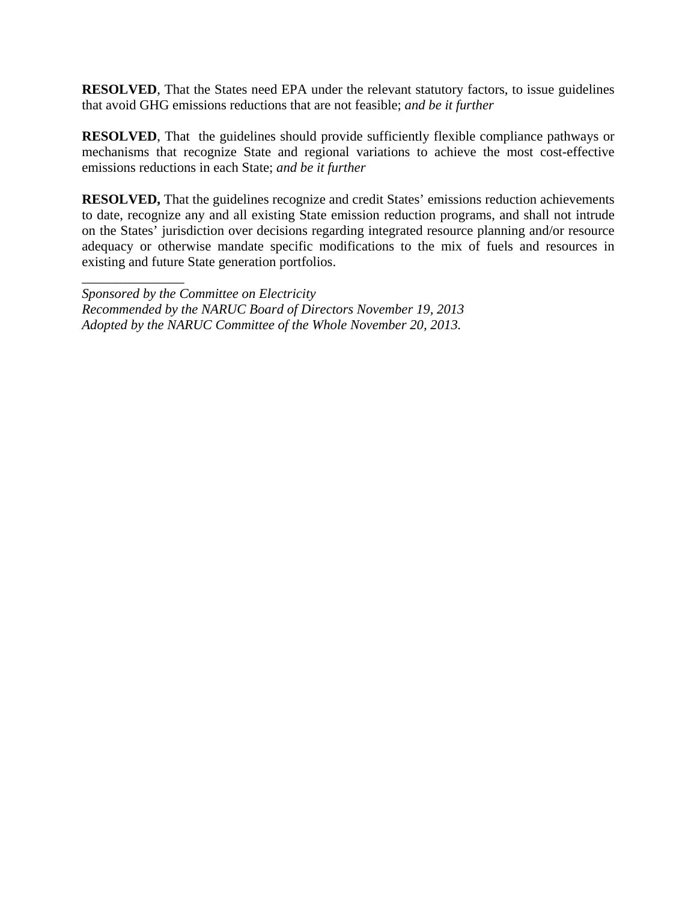**RESOLVED**, That the States need EPA under the relevant statutory factors, to issue guidelines that avoid GHG emissions reductions that are not feasible; *and be it further* 

**RESOLVED**, That the guidelines should provide sufficiently flexible compliance pathways or mechanisms that recognize State and regional variations to achieve the most cost-effective emissions reductions in each State; *and be it further*

**RESOLVED,** That the guidelines recognize and credit States' emissions reduction achievements to date, recognize any and all existing State emission reduction programs, and shall not intrude on the States' jurisdiction over decisions regarding integrated resource planning and/or resource adequacy or otherwise mandate specific modifications to the mix of fuels and resources in existing and future State generation portfolios.

*Sponsored by the Committee on Electricity Recommended by the NARUC Board of Directors November 19, 2013 Adopted by the NARUC Committee of the Whole November 20, 2013.* 

\_\_\_\_\_\_\_\_\_\_\_\_\_\_\_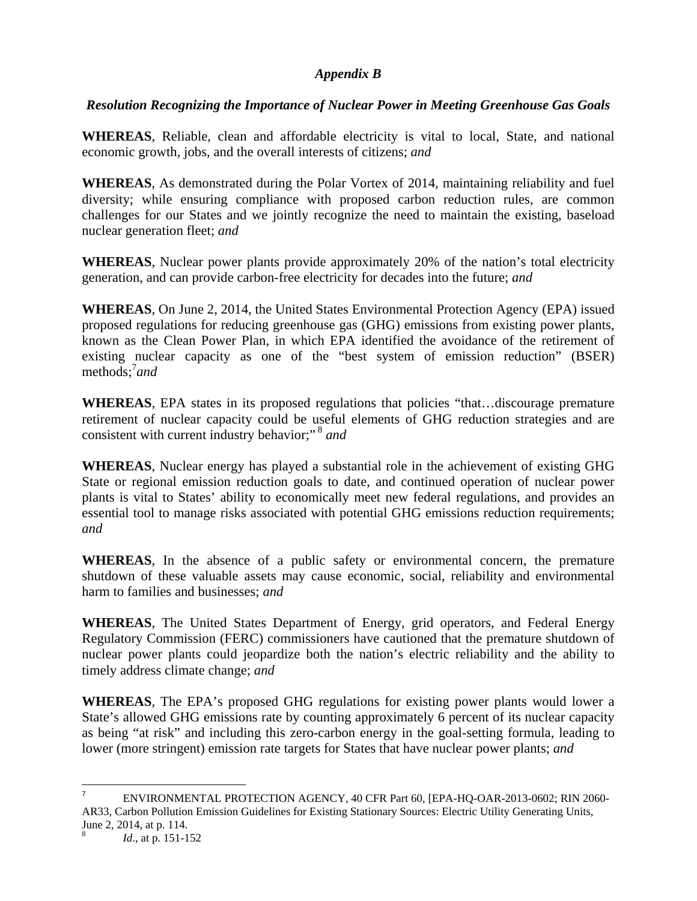### *Appendix B*

# *Resolution Recognizing the Importance of Nuclear Power in Meeting Greenhouse Gas Goals*

**WHEREAS**, Reliable, clean and affordable electricity is vital to local, State, and national economic growth, jobs, and the overall interests of citizens; *and* 

**WHEREAS**, As demonstrated during the Polar Vortex of 2014, maintaining reliability and fuel diversity; while ensuring compliance with proposed carbon reduction rules, are common challenges for our States and we jointly recognize the need to maintain the existing, baseload nuclear generation fleet; *and* 

**WHEREAS**, Nuclear power plants provide approximately 20% of the nation's total electricity generation, and can provide carbon-free electricity for decades into the future; *and*

**WHEREAS**, On June 2, 2014, the United States Environmental Protection Agency (EPA) issued proposed regulations for reducing greenhouse gas (GHG) emissions from existing power plants, known as the Clean Power Plan, in which EPA identified the avoidance of the retirement of existing nuclear capacity as one of the "best system of emission reduction" (BSER) methods;<sup>7</sup> *and* 

**WHEREAS**, EPA states in its proposed regulations that policies "that…discourage premature retirement of nuclear capacity could be useful elements of GHG reduction strategies and are consistent with current industry behavior;" 8 *and*

**WHEREAS**, Nuclear energy has played a substantial role in the achievement of existing GHG State or regional emission reduction goals to date, and continued operation of nuclear power plants is vital to States' ability to economically meet new federal regulations, and provides an essential tool to manage risks associated with potential GHG emissions reduction requirements; *and*

**WHEREAS**, In the absence of a public safety or environmental concern, the premature shutdown of these valuable assets may cause economic, social, reliability and environmental harm to families and businesses; *and*

**WHEREAS**, The United States Department of Energy, grid operators, and Federal Energy Regulatory Commission (FERC) commissioners have cautioned that the premature shutdown of nuclear power plants could jeopardize both the nation's electric reliability and the ability to timely address climate change; *and*

**WHEREAS**, The EPA's proposed GHG regulations for existing power plants would lower a State's allowed GHG emissions rate by counting approximately 6 percent of its nuclear capacity as being "at risk" and including this zero-carbon energy in the goal-setting formula, leading to lower (more stringent) emission rate targets for States that have nuclear power plants; *and*

 $\overline{a}$ 

<sup>7</sup> ENVIRONMENTAL PROTECTION AGENCY, 40 CFR Part 60, [EPA-HQ-OAR-2013-0602; RIN 2060- AR33, Carbon Pollution Emission Guidelines for Existing Stationary Sources: Electric Utility Generating Units, June 2, 2014, at p. 114.

<sup>8</sup> *Id*., at p. 151-152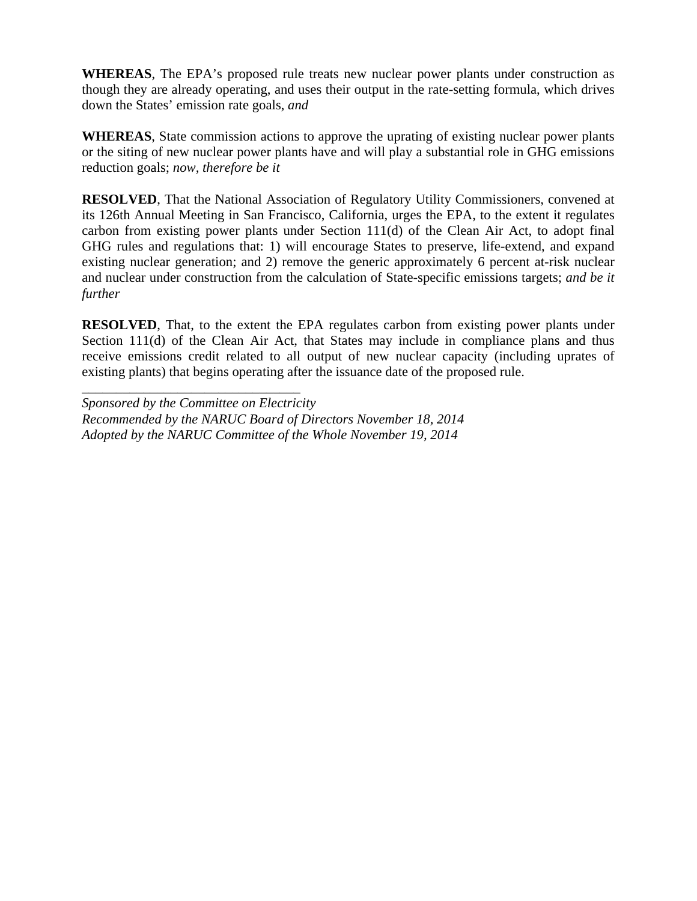**WHEREAS**, The EPA's proposed rule treats new nuclear power plants under construction as though they are already operating, and uses their output in the rate-setting formula, which drives down the States' emission rate goals, *and*

**WHEREAS**, State commission actions to approve the uprating of existing nuclear power plants or the siting of new nuclear power plants have and will play a substantial role in GHG emissions reduction goals; *now, therefore be it*

**RESOLVED**, That the National Association of Regulatory Utility Commissioners, convened at its 126th Annual Meeting in San Francisco, California, urges the EPA, to the extent it regulates carbon from existing power plants under Section 111(d) of the Clean Air Act, to adopt final GHG rules and regulations that: 1) will encourage States to preserve, life-extend, and expand existing nuclear generation; and 2) remove the generic approximately 6 percent at-risk nuclear and nuclear under construction from the calculation of State-specific emissions targets; *and be it further*

**RESOLVED**, That, to the extent the EPA regulates carbon from existing power plants under Section 111(d) of the Clean Air Act, that States may include in compliance plans and thus receive emissions credit related to all output of new nuclear capacity (including uprates of existing plants) that begins operating after the issuance date of the proposed rule.

*Sponsored by the Committee on Electricity Recommended by the NARUC Board of Directors November 18, 2014 Adopted by the NARUC Committee of the Whole November 19, 2014*

*\_\_\_\_\_\_\_\_\_\_\_\_\_\_\_\_\_\_\_\_\_\_\_\_\_\_\_\_\_\_\_\_*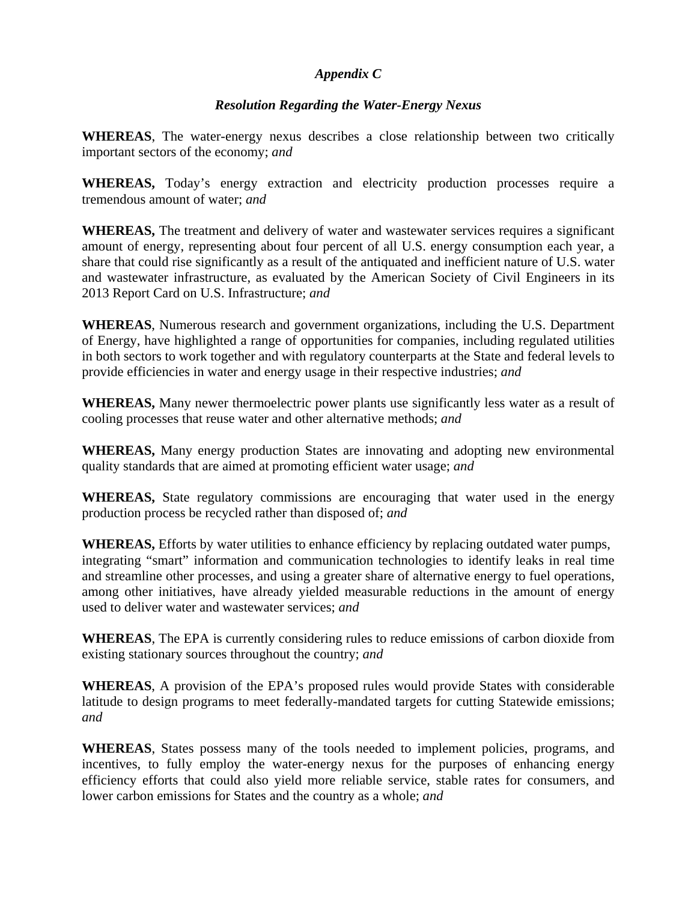### *Appendix C*

# *Resolution Regarding the Water-Energy Nexus*

**WHEREAS**, The water-energy nexus describes a close relationship between two critically important sectors of the economy; *and*

**WHEREAS,** Today's energy extraction and electricity production processes require a tremendous amount of water; *and* 

**WHEREAS,** The treatment and delivery of water and wastewater services requires a significant amount of energy, representing about four percent of all U.S. energy consumption each year, a share that could rise significantly as a result of the antiquated and inefficient nature of U.S. water and wastewater infrastructure, as evaluated by the American Society of Civil Engineers in its 2013 Report Card on U.S. Infrastructure; *and*

**WHEREAS**, Numerous research and government organizations, including the U.S. Department of Energy, have highlighted a range of opportunities for companies, including regulated utilities in both sectors to work together and with regulatory counterparts at the State and federal levels to provide efficiencies in water and energy usage in their respective industries; *and*

**WHEREAS,** Many newer thermoelectric power plants use significantly less water as a result of cooling processes that reuse water and other alternative methods; *and*

**WHEREAS,** Many energy production States are innovating and adopting new environmental quality standards that are aimed at promoting efficient water usage; *and*

**WHEREAS,** State regulatory commissions are encouraging that water used in the energy production process be recycled rather than disposed of; *and*

**WHEREAS,** Efforts by water utilities to enhance efficiency by replacing outdated water pumps, integrating "smart" information and communication technologies to identify leaks in real time and streamline other processes, and using a greater share of alternative energy to fuel operations, among other initiatives, have already yielded measurable reductions in the amount of energy used to deliver water and wastewater services; *and*

**WHEREAS**, The EPA is currently considering rules to reduce emissions of carbon dioxide from existing stationary sources throughout the country; *and*

**WHEREAS**, A provision of the EPA's proposed rules would provide States with considerable latitude to design programs to meet federally-mandated targets for cutting Statewide emissions; *and*

**WHEREAS**, States possess many of the tools needed to implement policies, programs, and incentives, to fully employ the water-energy nexus for the purposes of enhancing energy efficiency efforts that could also yield more reliable service, stable rates for consumers, and lower carbon emissions for States and the country as a whole; *and*